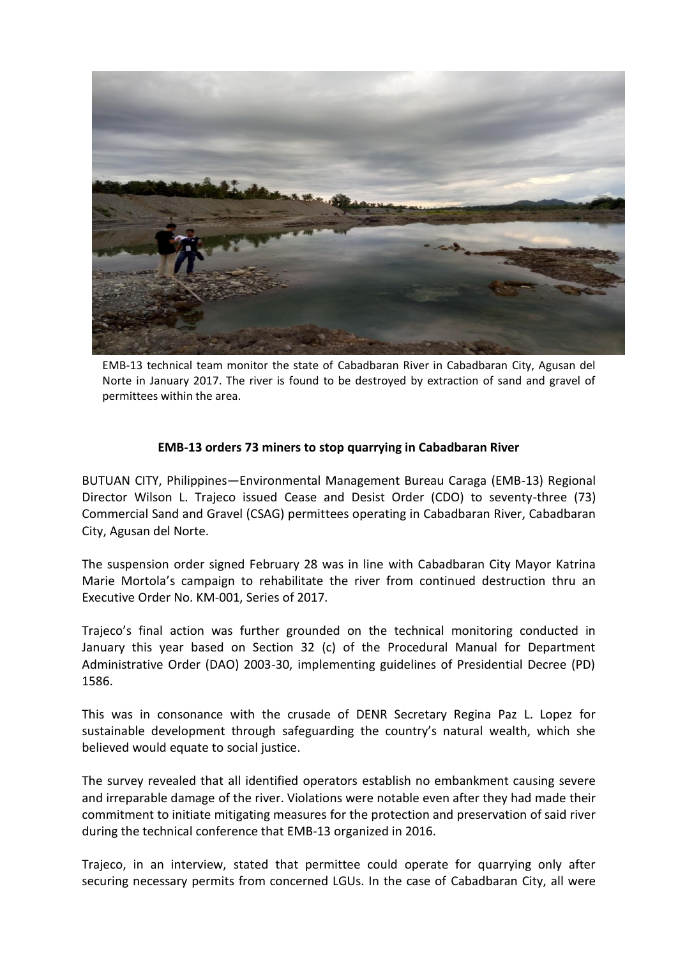

EMB-13 technical team monitor the state of Cabadbaran River in Cabadbaran City, Agusan del Norte in January 2017. The river is found to be destroyed by extraction of sand and gravel of permittees within the area.

## **EMB-13 orders 73 miners to stop quarrying in Cabadbaran River**

BUTUAN CITY, Philippines—Environmental Management Bureau Caraga (EMB-13) Regional Director Wilson L. Trajeco issued Cease and Desist Order (CDO) to seventy-three (73) Commercial Sand and Gravel (CSAG) permittees operating in Cabadbaran River, Cabadbaran City, Agusan del Norte.

The suspension order signed February 28 was in line with Cabadbaran City Mayor Katrina Marie Mortola's campaign to rehabilitate the river from continued destruction thru an Executive Order No. KM-001, Series of 2017.

Trajeco's final action was further grounded on the technical monitoring conducted in January this year based on Section 32 (c) of the Procedural Manual for Department Administrative Order (DAO) 2003-30, implementing guidelines of Presidential Decree (PD) 1586.

This was in consonance with the crusade of DENR Secretary Regina Paz L. Lopez for sustainable development through safeguarding the country's natural wealth, which she believed would equate to social justice.

The survey revealed that all identified operators establish no embankment causing severe and irreparable damage of the river. Violations were notable even after they had made their commitment to initiate mitigating measures for the protection and preservation of said river during the technical conference that EMB-13 organized in 2016.

Trajeco, in an interview, stated that permittee could operate for quarrying only after securing necessary permits from concerned LGUs. In the case of Cabadbaran City, all were